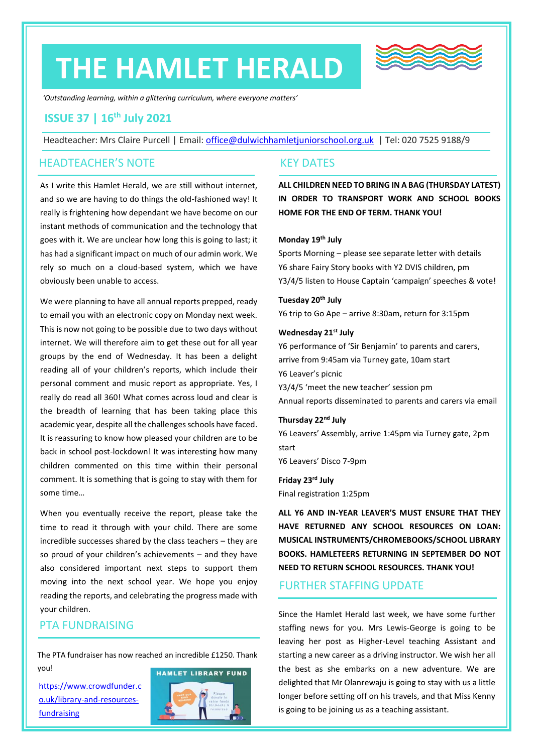# **THE HAMLET HERALD**



*'Outstanding learning, within a glittering curriculum, where everyone matters'*

# **ISSUE 37 | 16th July 2021**

Headteacher: Mrs Claire Purcell | Email: [office@dulwichhamletjuniorschool.org.uk](mailto:office@dulwichhamletjuniorschool.org.uk) | Tel: 020 7525 9188/9

## HEADTEACHER'S NOTE

As I write this Hamlet Herald, we are still without internet, and so we are having to do things the old-fashioned way! It really is frightening how dependant we have become on our instant methods of communication and the technology that goes with it. We are unclear how long this is going to last; it has had a significant impact on much of our admin work. We rely so much on a cloud-based system, which we have obviously been unable to access.

We were planning to have all annual reports prepped, ready to email you with an electronic copy on Monday next week. This is now not going to be possible due to two days without internet. We will therefore aim to get these out for all year groups by the end of Wednesday. It has been a delight reading all of your children's reports, which include their personal comment and music report as appropriate. Yes, I really do read all 360! What comes across loud and clear is the breadth of learning that has been taking place this academic year, despite all the challenges schools have faced. It is reassuring to know how pleased your children are to be back in school post-lockdown! It was interesting how many children commented on this time within their personal comment. It is something that is going to stay with them for some time…

When you eventually receive the report, please take the time to read it through with your child. There are some incredible successes shared by the class teachers – they are so proud of your children's achievements – and they have also considered important next steps to support them moving into the next school year. We hope you enjoy reading the reports, and celebrating the progress made with your children.

# PTA FUNDRAISING

The PTA fundraiser has now reached an incredible £1250. Thank you!

[https://www.crowdfunder.c](https://www.crowdfunder.co.uk/library-and-resources-fundraising) [o.uk/library-and-resources](https://www.crowdfunder.co.uk/library-and-resources-fundraising)[fundraising](https://www.crowdfunder.co.uk/library-and-resources-fundraising) 



## KEY DATES

**ALL CHILDREN NEED TO BRING IN A BAG (THURSDAY LATEST) IN ORDER TO TRANSPORT WORK AND SCHOOL BOOKS HOME FOR THE END OF TERM. THANK YOU!**

### **Monday 19th July**

Sports Morning – please see separate letter with details Y6 share Fairy Story books with Y2 DVIS children, pm Y3/4/5 listen to House Captain 'campaign' speeches & vote!

**Tuesday 20th July** Y6 trip to Go Ape – arrive 8:30am, return for 3:15pm

#### **Wednesday 21st July**

Y6 performance of 'Sir Benjamin' to parents and carers, arrive from 9:45am via Turney gate, 10am start Y6 Leaver's picnic Y3/4/5 'meet the new teacher' session pm

Annual reports disseminated to parents and carers via email

## **Thursday 22nd July**

Y6 Leavers' Assembly, arrive 1:45pm via Turney gate, 2pm start Y6 Leavers' Disco 7-9pm

**Friday 23rd July** Final registration 1:25pm

**ALL Y6 AND IN-YEAR LEAVER'S MUST ENSURE THAT THEY HAVE RETURNED ANY SCHOOL RESOURCES ON LOAN: MUSICAL INSTRUMENTS/CHROMEBOOKS/SCHOOL LIBRARY BOOKS. HAMLETEERS RETURNING IN SEPTEMBER DO NOT NEED TO RETURN SCHOOL RESOURCES. THANK YOU!**

## FURTHER STAFFING UPDATE

Since the Hamlet Herald last week, we have some further staffing news for you. Mrs Lewis-George is going to be leaving her post as Higher-Level teaching Assistant and starting a new career as a driving instructor. We wish her all the best as she embarks on a new adventure. We are delighted that Mr Olanrewaju is going to stay with us a little longer before setting off on his travels, and that Miss Kenny is going to be joining us as a teaching assistant.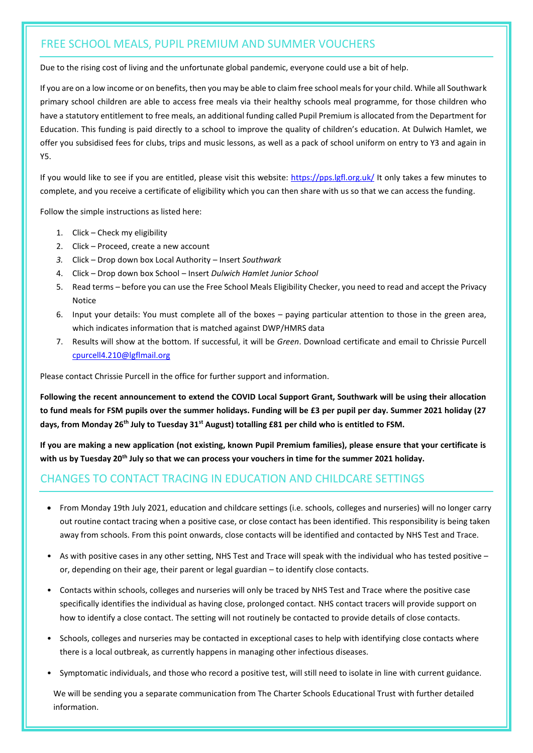# FREE SCHOOL MEALS, PUPIL PREMIUM AND SUMMER VOUCHERS

Due to the rising cost of living and the unfortunate global pandemic, everyone could use a bit of help.

If you are on a low income or on benefits, then you may be able to claim free school meals for your child. While all Southwark primary school children are able to access free meals via their healthy schools meal programme, for those children who have a statutory entitlement to free meals, an additional funding called Pupil Premium is allocated from the Department for Education. This funding is paid directly to a school to improve the quality of children's education. At Dulwich Hamlet, we offer you subsidised fees for clubs, trips and music lessons, as well as a pack of school uniform on entry to Y3 and again in Y5.

If you would like to see if you are entitled, please visit this website:<https://pps.lgfl.org.uk/> It only takes a few minutes to complete, and you receive a certificate of eligibility which you can then share with us so that we can access the funding.

Follow the simple instructions as listed here:

- 1. Click Check my eligibility
- 2. Click Proceed, create a new account
- *3.* Click Drop down box Local Authority Insert *Southwark*
- 4. Click Drop down box School Insert *Dulwich Hamlet Junior School*
- 5. Read terms before you can use the Free School Meals Eligibility Checker, you need to read and accept the Privacy Notice
- 6. Input your details: You must complete all of the boxes paying particular attention to those in the green area, which indicates information that is matched against DWP/HMRS data
- 7. Results will show at the bottom. If successful, it will be *Green*. Download certificate and email to Chrissie Purcell [cpurcell4.210@lgflmail.org](mailto:cpurcell4.210@lgflmail.org)

Please contact Chrissie Purcell in the office for further support and information.

**Following the recent announcement to extend the COVID Local Support Grant, Southwark will be using their allocation to fund meals for FSM pupils over the summer holidays. Funding will be £3 per pupil per day. Summer 2021 holiday (27 days, from Monday 26th July to Tuesday 31st August) totalling £81 per child who is entitled to FSM.**

**If you are making a new application (not existing, known Pupil Premium families), please ensure that your certificate is with us by Tuesday 20th July so that we can process your vouchers in time for the summer 2021 holiday.**

# CHANGES TO CONTACT TRACING IN EDUCATION AND CHILDCARE SETTINGS

- From Monday 19th July 2021, education and childcare settings (i.e. schools, colleges and nurseries) will no longer carry out routine contact tracing when a positive case, or close contact has been identified. This responsibility is being taken away from schools. From this point onwards, close contacts will be identified and contacted by NHS Test and Trace.
- As with positive cases in any other setting, NHS Test and Trace will speak with the individual who has tested positive or, depending on their age, their parent or legal guardian – to identify close contacts.
- Contacts within schools, colleges and nurseries will only be traced by NHS Test and Trace where the positive case specifically identifies the individual as having close, prolonged contact. NHS contact tracers will provide support on how to identify a close contact. The setting will not routinely be contacted to provide details of close contacts.
- Schools, colleges and nurseries may be contacted in exceptional cases to help with identifying close contacts where there is a local outbreak, as currently happens in managing other infectious diseases.
- Symptomatic individuals, and those who record a positive test, will still need to isolate in line with current guidance.

We will be sending you a separate communication from The Charter Schools Educational Trust with further detailed information.